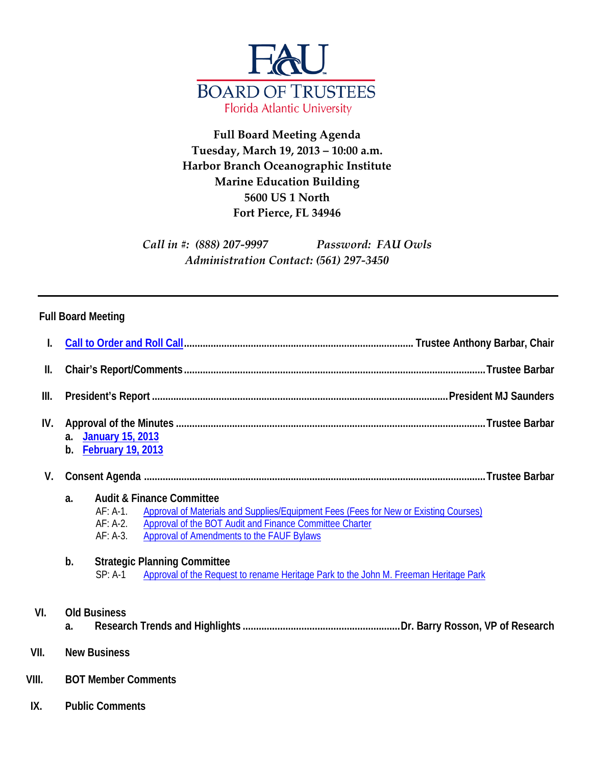

## **Full Board Meeting Agenda Tuesday, March 19, 2013 – 10:00 a.m. Harbor Branch Oceanographic Institute Marine Education Building 5600 US 1 North Fort Pierce, FL 34946**

*Call in #: (888) 207-9997 Password: FAU Owls Administration Contact: (561) 297-3450*

## **Full Board Meeting**

| ΙΙ.   |                                                                                                                                                                                                                                                                                             |  |  |
|-------|---------------------------------------------------------------------------------------------------------------------------------------------------------------------------------------------------------------------------------------------------------------------------------------------|--|--|
| III.  |                                                                                                                                                                                                                                                                                             |  |  |
| IV.   | <b>January 15, 2013</b><br>a <sub>1</sub><br><b>February 19, 2013</b><br>b.                                                                                                                                                                                                                 |  |  |
| V.    |                                                                                                                                                                                                                                                                                             |  |  |
|       | <b>Audit &amp; Finance Committee</b><br>a.<br>Approval of Materials and Supplies/Equipment Fees (Fees for New or Existing Courses)<br>$AF: A-1.$<br>Approval of the BOT Audit and Finance Committee Charter<br>$AF: A-2.$<br><b>Approval of Amendments to the FAUF Bylaws</b><br>$AF: A-3.$ |  |  |
|       | b.<br><b>Strategic Planning Committee</b><br>Approval of the Request to rename Heritage Park to the John M. Freeman Heritage Park<br>$SP: A-1$                                                                                                                                              |  |  |
| VI.   | <b>Old Business</b><br>a.                                                                                                                                                                                                                                                                   |  |  |
| VII.  | <b>New Business</b>                                                                                                                                                                                                                                                                         |  |  |
| VIII. | <b>BOT Member Comments</b>                                                                                                                                                                                                                                                                  |  |  |
| IX.   | <b>Public Comments</b>                                                                                                                                                                                                                                                                      |  |  |